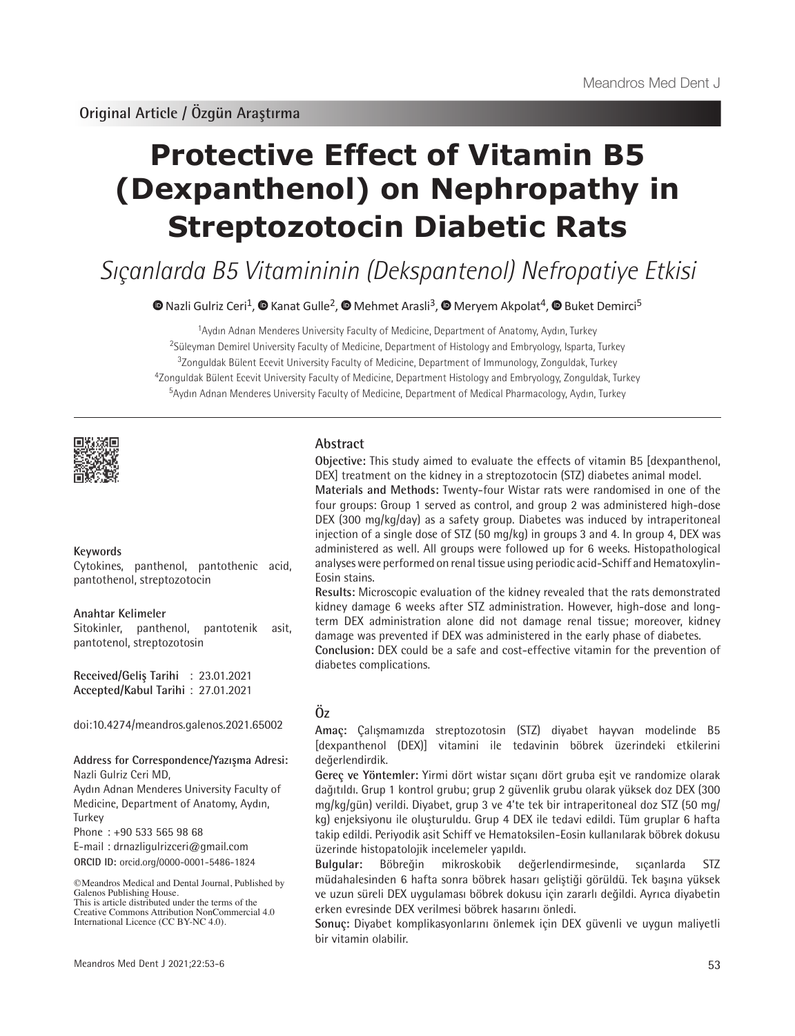# **Protective Effect of Vitamin B5 (Dexpanthenol) on Nephropathy in Streptozotocin Diabetic Rats**

Sıçanlarda B5 Vitamininin (Dekspantenol) Nefropatiye Etkisi

 $\bullet$ Nazli Gulriz Ceri<sup>1</sup>,  $\bullet$  Kanat Gulle<sup>2</sup>,  $\bullet$  Mehmet Arasli<sup>3</sup>,  $\bullet$  Meryem Akpolat<sup>4</sup>,  $\bullet$  Buket Demirci<sup>5</sup>

<sup>1</sup>Aydın Adnan Menderes University Faculty of Medicine, Department of Anatomy, Aydın, Turkey Süleyman Demirel University Faculty of Medicine, Department of Histology and Embryology, Isparta, Turkey Zonguldak Bülent Ecevit University Faculty of Medicine, Department of Immunology, Zonguldak, Turkey Zonguldak Bülent Ecevit University Faculty of Medicine, Department Histology and Embryology, Zonguldak, Turkey Aydın Adnan Menderes University Faculty of Medicine, Department of Medical Pharmacology, Aydın, Turkey



## **Keywords**

Cytokines, panthenol, pantothenic acid, pantothenol, streptozotocin

#### **Anahtar Kelimeler**

Sitokinler, panthenol, pantotenik asit, pantotenol, streptozotosin

**Received/Geliş Tarihi** : 23.01.2021 **Accepted/Kabul Tarihi** : 27.01.2021

doi:10.4274/meandros.galenos.2021.65002

#### **Address for Correspondence/Yazışma Adresi:** Nazli Gulriz Ceri MD,

Aydın Adnan Menderes University Faculty of Medicine, Department of Anatomy, Aydın, Turkey

Phone : +90 533 565 98 68

E-mail : drnazligulrizceri@gmail.com

**ORCID ID:** orcid.org/0000-0001-5486-1824

©Meandros Medical and Dental Journal, Published by Galenos Publishing House. This is article distributed under the terms of the

Creative Commons Attribution NonCommercial 4.0 International Licence (CC BY-NC 4.0).

## **Abstract**

**Objective:** This study aimed to evaluate the effects of vitamin B5 [dexpanthenol, DEX] treatment on the kidney in a streptozotocin (STZ) diabetes animal model. **Materials and Methods:** Twenty-four Wistar rats were randomised in one of the four groups: Group 1 served as control, and group 2 was administered high-dose DEX (300 mg/kg/day) as a safety group. Diabetes was induced by intraperitoneal injection of a single dose of STZ (50 mg/kg) in groups 3 and 4. In group 4, DEX was administered as well. All groups were followed up for 6 weeks. Histopathological analyses were performed on renal tissue using periodic acid-Schiff and Hematoxylin-Eosin stains.

**Results:** Microscopic evaluation of the kidney revealed that the rats demonstrated kidney damage 6 weeks after STZ administration. However, high-dose and longterm DEX administration alone did not damage renal tissue; moreover, kidney damage was prevented if DEX was administered in the early phase of diabetes.

**Conclusion:** DEX could be a safe and cost-effective vitamin for the prevention of diabetes complications.

# **Öz**

**Amaç:** Çalışmamızda streptozotosin (STZ) diyabet hayvan modelinde B5 [dexpanthenol (DEX)] vitamini ile tedavinin böbrek üzerindeki etkilerini değerlendirdik.

**Gereç ve Yöntemler:** Yirmi dört wistar sıçanı dört gruba eşit ve randomize olarak dağıtıldı. Grup 1 kontrol grubu; grup 2 güvenlik grubu olarak yüksek doz DEX (300 mg/kg/gün) verildi. Diyabet, grup 3 ve 4'te tek bir intraperitoneal doz STZ (50 mg/ kg) enjeksiyonu ile oluşturuldu. Grup 4 DEX ile tedavi edildi. Tüm gruplar 6 hafta takip edildi. Periyodik asit Schiff ve Hematoksilen-Eosin kullanılarak böbrek dokusu üzerinde histopatolojik incelemeler yapıldı.

**Bulgular:** Böbreğin mikroskobik değerlendirmesinde, sıçanlarda STZ müdahalesinden 6 hafta sonra böbrek hasarı geliştiği görüldü. Tek başına yüksek ve uzun süreli DEX uygulaması böbrek dokusu için zararlı değildi. Ayrıca diyabetin erken evresinde DEX verilmesi böbrek hasarını önledi.

**Sonuç:** Diyabet komplikasyonlarını önlemek için DEX güvenli ve uygun maliyetli bir vitamin olabilir.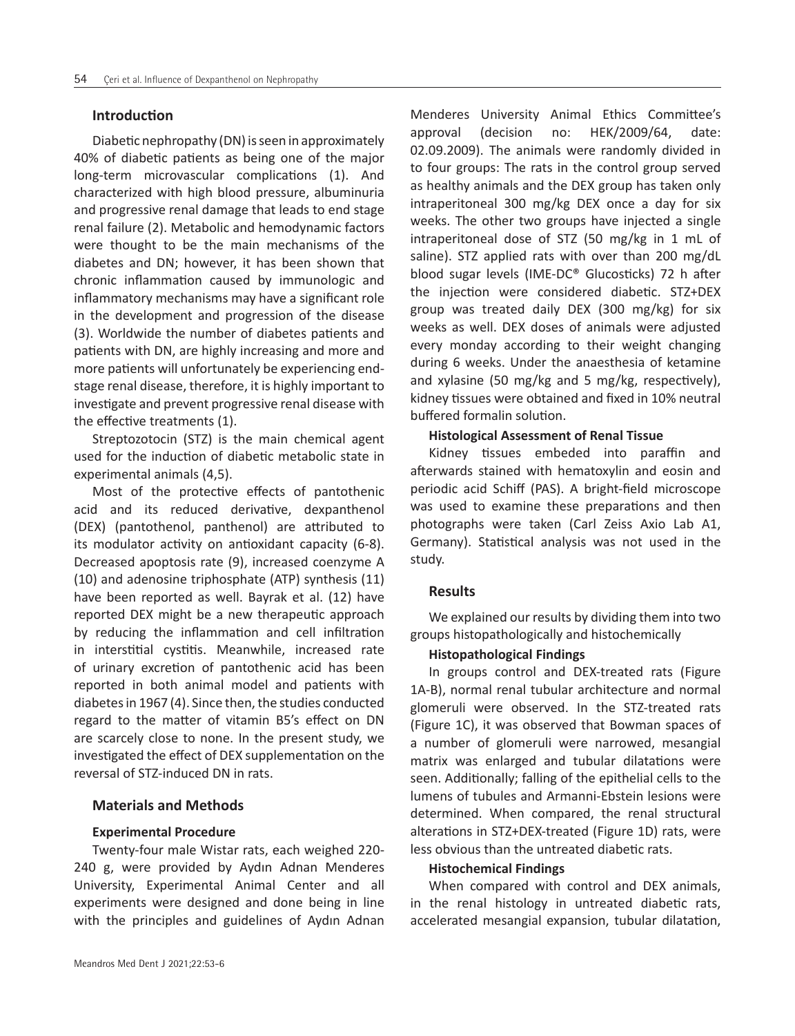# **Introduction**

Diabetic nephropathy (DN) is seen in approximately 40% of diabetic patients as being one of the major long-term microvascular complications (1). And characterized with high blood pressure, albuminuria and progressive renal damage that leads to end stage renal failure (2). Metabolic and hemodynamic factors were thought to be the main mechanisms of the diabetes and DN; however, it has been shown that chronic inflammation caused by immunologic and inflammatory mechanisms may have a significant role in the development and progression of the disease (3). Worldwide the number of diabetes patients and patients with DN, are highly increasing and more and more patients will unfortunately be experiencing endstage renal disease, therefore, it is highly important to investigate and prevent progressive renal disease with the effective treatments (1).

Streptozotocin (STZ) is the main chemical agent used for the induction of diabetic metabolic state in experimental animals (4,5).

Most of the protective effects of pantothenic acid and its reduced derivative, dexpanthenol (DEX) (pantothenol, panthenol) are attributed to its modulator activity on antioxidant capacity (6-8). Decreased apoptosis rate (9), increased coenzyme A (10) and adenosine triphosphate (ATP) synthesis (11) have been reported as well. Bayrak et al. (12) have reported DEX might be a new therapeutic approach by reducing the inflammation and cell infiltration in interstitial cystitis. Meanwhile, increased rate of urinary excretion of pantothenic acid has been reported in both animal model and patients with diabetes in 1967 (4). Since then, the studies conducted regard to the matter of vitamin B5's effect on DN are scarcely close to none. In the present study, we investigated the effect of DEX supplementation on the reversal of STZ-induced DN in rats.

# **Materials and Methods**

## **Experimental Procedure**

Twenty-four male Wistar rats, each weighed 220- 240 g, were provided by Aydın Adnan Menderes University, Experimental Animal Center and all experiments were designed and done being in line with the principles and guidelines of Aydın Adnan

Menderes University Animal Ethics Committee's approval (decision no: HEK/2009/64, date: 02.09.2009). The animals were randomly divided in to four groups: The rats in the control group served as healthy animals and the DEX group has taken only intraperitoneal 300 mg/kg DEX once a day for six weeks. The other two groups have injected a single intraperitoneal dose of STZ (50 mg/kg in 1 mL of saline). STZ applied rats with over than 200 mg/dL blood sugar levels (IME-DC® Glucosticks) 72 h after the injection were considered diabetic. STZ+DEX group was treated daily DEX (300 mg/kg) for six weeks as well. DEX doses of animals were adjusted every monday according to their weight changing during 6 weeks. Under the anaesthesia of ketamine and xylasine (50 mg/kg and 5 mg/kg, respectively), kidney tissues were obtained and fixed in 10% neutral buffered formalin solution.

# **Histological Assessment of Renal Tissue**

Kidney tissues embeded into paraffin and afterwards stained with hematoxylin and eosin and periodic acid Schiff (PAS). A bright-field microscope was used to examine these preparations and then photographs were taken (Carl Zeiss Axio Lab A1, Germany). Statistical analysis was not used in the study.

# **Results**

We explained our results by dividing them into two groups histopathologically and histochemically

## **Histopathological Findings**

In groups control and DEX-treated rats (Figure 1A-B), normal renal tubular architecture and normal glomeruli were observed. In the STZ-treated rats (Figure 1C), it was observed that Bowman spaces of a number of glomeruli were narrowed, mesangial matrix was enlarged and tubular dilatations were seen. Additionally; falling of the epithelial cells to the lumens of tubules and Armanni-Ebstein lesions were determined. When compared, the renal structural alterations in STZ+DEX-treated (Figure 1D) rats, were less obvious than the untreated diabetic rats.

# **Histochemical Findings**

When compared with control and DEX animals, in the renal histology in untreated diabetic rats, accelerated mesangial expansion, tubular dilatation,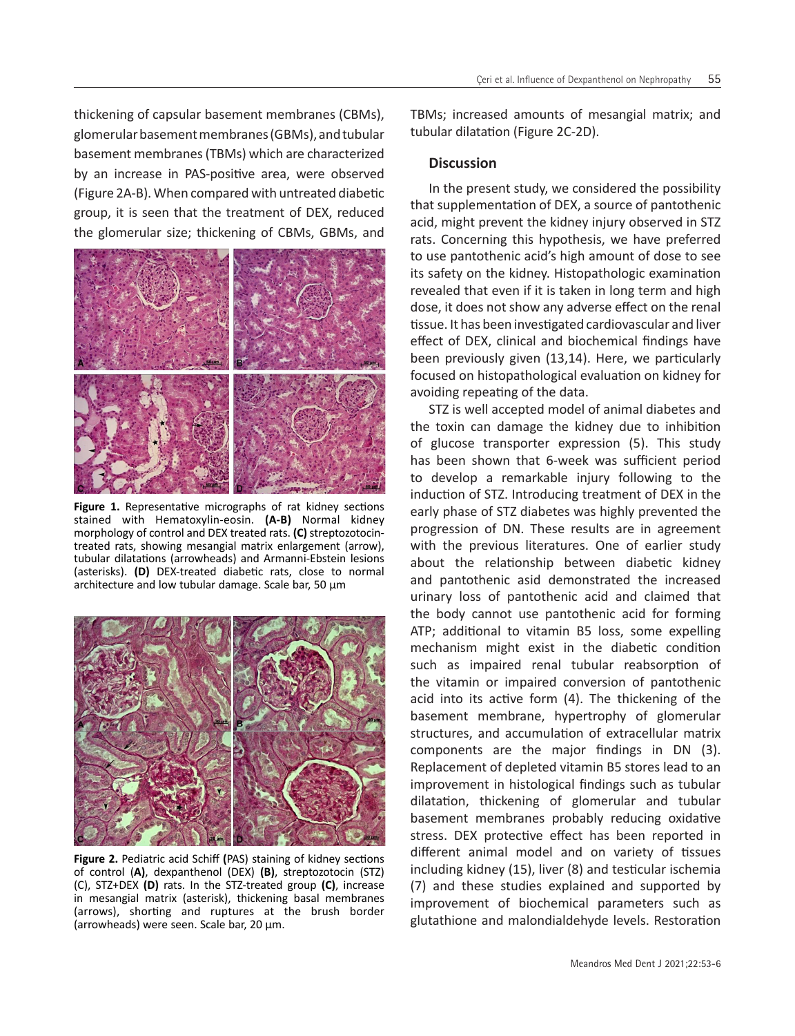thickening of capsular basement membranes (CBMs), glomerular basement membranes (GBMs), and tubular basement membranes (TBMs) which are characterized by an increase in PAS-positive area, were observed (Figure 2A-B). When compared with untreated diabetic group, it is seen that the treatment of DEX, reduced the glomerular size; thickening of CBMs, GBMs, and



Figure 1. Representative micrographs of rat kidney sections stained with Hematoxylin-eosin. **(A-B)** Normal kidney morphology of control and DEX treated rats. **(C)** streptozotocintreated rats, showing mesangial matrix enlargement (arrow), tubular dilatations (arrowheads) and Armanni-Ebstein lesions (asterisks). **(D)** DEX-treated diabetic rats, close to normal architecture and low tubular damage. Scale bar, 50  $\mu$ m



**Figure 2.** Pediatric acid Schiff **(**PAS) staining of kidney sections of control (**A)**, dexpanthenol (DEX) **(B)**, streptozotocin (STZ) (C), STZ+DEX **(D)** rats. In the STZ-treated group **(C)**, increase in mesangial matrix (asterisk), thickening basal membranes (arrows), shorting and ruptures at the brush border (arrowheads) were seen. Scale bar, 20 µm.

TBMs; increased amounts of mesangial matrix; and tubular dilatation (Figure 2C-2D).

## **Discussion**

In the present study, we considered the possibility that supplementation of DEX, a source of pantothenic acid, might prevent the kidney injury observed in STZ rats. Concerning this hypothesis, we have preferred to use pantothenic acid's high amount of dose to see its safety on the kidney. Histopathologic examination revealed that even if it is taken in long term and high dose, it does not show any adverse effect on the renal tissue. It has been investigated cardiovascular and liver effect of DEX, clinical and biochemical findings have been previously given (13,14). Here, we particularly focused on histopathological evaluation on kidney for avoiding repeating of the data.

STZ is well accepted model of animal diabetes and the toxin can damage the kidney due to inhibition of glucose transporter expression (5). This study has been shown that 6-week was sufficient period to develop a remarkable injury following to the induction of STZ. Introducing treatment of DEX in the early phase of STZ diabetes was highly prevented the progression of DN. These results are in agreement with the previous literatures. One of earlier study about the relationship between diabetic kidney and pantothenic asid demonstrated the increased urinary loss of pantothenic acid and claimed that the body cannot use pantothenic acid for forming ATP; additional to vitamin B5 loss, some expelling mechanism might exist in the diabetic condition such as impaired renal tubular reabsorption of the vitamin or impaired conversion of pantothenic acid into its active form (4). The thickening of the basement membrane, hypertrophy of glomerular structures, and accumulation of extracellular matrix components are the major findings in DN (3). Replacement of depleted vitamin B5 stores lead to an improvement in histological findings such as tubular dilatation, thickening of glomerular and tubular basement membranes probably reducing oxidative stress. DEX protective effect has been reported in different animal model and on variety of tissues including kidney (15), liver (8) and testicular ischemia (7) and these studies explained and supported by improvement of biochemical parameters such as glutathione and malondialdehyde levels. Restoration